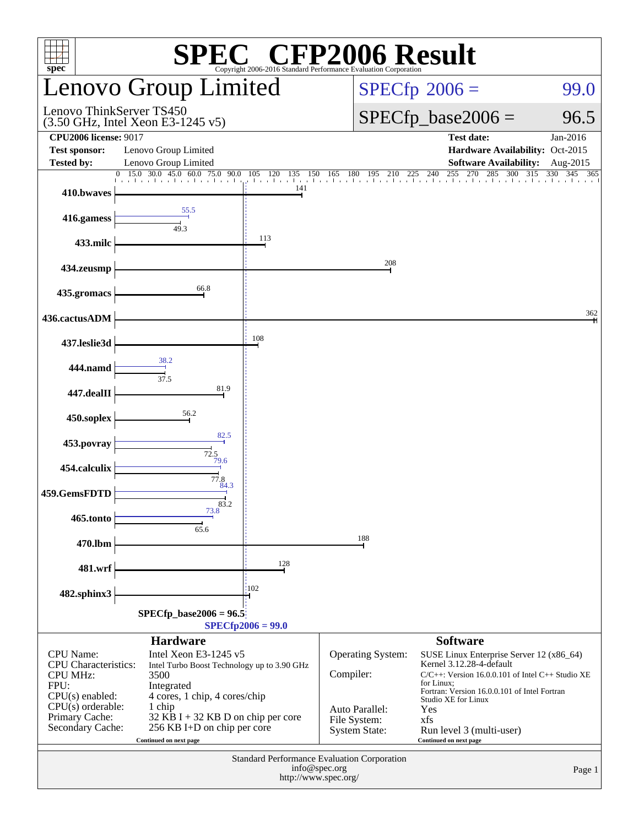| SPEC <sup>®</sup> CFP2006 Evaluation Corporation SUIt<br>$spec^*$                                                                                            |                                                                                                                                                                                                                                        |                     |                                                                                                 |                                                                                                                                                                                                                                                                                        |                      |  |  |  |
|--------------------------------------------------------------------------------------------------------------------------------------------------------------|----------------------------------------------------------------------------------------------------------------------------------------------------------------------------------------------------------------------------------------|---------------------|-------------------------------------------------------------------------------------------------|----------------------------------------------------------------------------------------------------------------------------------------------------------------------------------------------------------------------------------------------------------------------------------------|----------------------|--|--|--|
|                                                                                                                                                              | Lenovo Group Limited                                                                                                                                                                                                                   |                     |                                                                                                 | $SPECfp^{\circ}2006 =$<br>99.0                                                                                                                                                                                                                                                         |                      |  |  |  |
| Lenovo ThinkServer TS450<br>$(3.50 \text{ GHz}, \text{Intel Xeon E}3-1245 \text{ v}5)$                                                                       |                                                                                                                                                                                                                                        |                     |                                                                                                 | $SPECfp\_base2006 =$<br>96.5                                                                                                                                                                                                                                                           |                      |  |  |  |
| <b>CPU2006</b> license: 9017<br><b>Test sponsor:</b><br><b>Tested by:</b>                                                                                    | Lenovo Group Limited<br>Lenovo Group Limited                                                                                                                                                                                           |                     |                                                                                                 | <b>Test date:</b><br>Hardware Availability: Oct-2015<br><b>Software Availability:</b>                                                                                                                                                                                                  | Jan-2016<br>Aug-2015 |  |  |  |
|                                                                                                                                                              |                                                                                                                                                                                                                                        |                     |                                                                                                 | 0 15.0 30.0 45.0 60.0 75.0 90.0 105 120 135 150 165 180 195 210 225 240 255 270 285 300 315 330 345 36                                                                                                                                                                                 | 365                  |  |  |  |
| 410.bwaves                                                                                                                                                   |                                                                                                                                                                                                                                        | 141                 |                                                                                                 |                                                                                                                                                                                                                                                                                        |                      |  |  |  |
| 416.gamess                                                                                                                                                   | 55.5<br>49.3                                                                                                                                                                                                                           |                     |                                                                                                 |                                                                                                                                                                                                                                                                                        |                      |  |  |  |
| 433.milc                                                                                                                                                     |                                                                                                                                                                                                                                        | 113                 |                                                                                                 |                                                                                                                                                                                                                                                                                        |                      |  |  |  |
| 434.zeusmp                                                                                                                                                   |                                                                                                                                                                                                                                        |                     | 208                                                                                             |                                                                                                                                                                                                                                                                                        |                      |  |  |  |
| 435.gromacs                                                                                                                                                  | 66.8                                                                                                                                                                                                                                   |                     |                                                                                                 |                                                                                                                                                                                                                                                                                        |                      |  |  |  |
| 436.cactusADM                                                                                                                                                |                                                                                                                                                                                                                                        |                     |                                                                                                 |                                                                                                                                                                                                                                                                                        | 362                  |  |  |  |
| 437.leslie3d                                                                                                                                                 |                                                                                                                                                                                                                                        | 108                 |                                                                                                 |                                                                                                                                                                                                                                                                                        |                      |  |  |  |
| 444.namd                                                                                                                                                     | 38.2<br>37.5                                                                                                                                                                                                                           |                     |                                                                                                 |                                                                                                                                                                                                                                                                                        |                      |  |  |  |
| 447.dealII                                                                                                                                                   | 81.9                                                                                                                                                                                                                                   |                     |                                                                                                 |                                                                                                                                                                                                                                                                                        |                      |  |  |  |
| 450.soplex                                                                                                                                                   | 56.2                                                                                                                                                                                                                                   |                     |                                                                                                 |                                                                                                                                                                                                                                                                                        |                      |  |  |  |
| 453.povray                                                                                                                                                   | 82.5<br>72.5                                                                                                                                                                                                                           |                     |                                                                                                 |                                                                                                                                                                                                                                                                                        |                      |  |  |  |
| 454.calculix                                                                                                                                                 | 79.6<br>77.8                                                                                                                                                                                                                           |                     |                                                                                                 |                                                                                                                                                                                                                                                                                        |                      |  |  |  |
| 459.GemsFDTD                                                                                                                                                 | 84.3                                                                                                                                                                                                                                   |                     |                                                                                                 |                                                                                                                                                                                                                                                                                        |                      |  |  |  |
| 465.tonto                                                                                                                                                    | $\overline{73.8}^{83.2}$<br>65.6                                                                                                                                                                                                       |                     |                                                                                                 |                                                                                                                                                                                                                                                                                        |                      |  |  |  |
| 470.lbm                                                                                                                                                      |                                                                                                                                                                                                                                        |                     | 188                                                                                             |                                                                                                                                                                                                                                                                                        |                      |  |  |  |
| 481.wrf                                                                                                                                                      |                                                                                                                                                                                                                                        | 128                 |                                                                                                 |                                                                                                                                                                                                                                                                                        |                      |  |  |  |
| 482.sphinx3                                                                                                                                                  |                                                                                                                                                                                                                                        | 102                 |                                                                                                 |                                                                                                                                                                                                                                                                                        |                      |  |  |  |
|                                                                                                                                                              | $SPECfp\_base2006 = 96.5$                                                                                                                                                                                                              | $SPECfp2006 = 99.0$ |                                                                                                 |                                                                                                                                                                                                                                                                                        |                      |  |  |  |
|                                                                                                                                                              | <b>Hardware</b>                                                                                                                                                                                                                        |                     |                                                                                                 | <b>Software</b>                                                                                                                                                                                                                                                                        |                      |  |  |  |
| <b>CPU</b> Name:<br><b>CPU</b> Characteristics:<br><b>CPU MHz:</b><br>FPU:<br>$CPU(s)$ enabled:<br>$CPU(s)$ orderable:<br>Primary Cache:<br>Secondary Cache: | Intel Xeon E3-1245 v5<br>Intel Turbo Boost Technology up to 3.90 GHz<br>3500<br>Integrated<br>4 cores, 1 chip, 4 cores/chip<br>1 chip<br>$32$ KB I + 32 KB D on chip per core<br>256 KB I+D on chip per core<br>Continued on next page |                     | <b>Operating System:</b><br>Compiler:<br>Auto Parallel:<br>File System:<br><b>System State:</b> | SUSE Linux Enterprise Server 12 (x86_64)<br>Kernel 3.12.28-4-default<br>$C/C++$ : Version 16.0.0.101 of Intel $C++$ Studio XE<br>for Linux:<br>Fortran: Version 16.0.0.101 of Intel Fortran<br>Studio XE for Linux<br>Yes<br>xfs<br>Run level 3 (multi-user)<br>Continued on next page |                      |  |  |  |
| Standard Performance Evaluation Corporation<br>info@spec.org<br>http://www.spec.org/                                                                         |                                                                                                                                                                                                                                        |                     |                                                                                                 |                                                                                                                                                                                                                                                                                        |                      |  |  |  |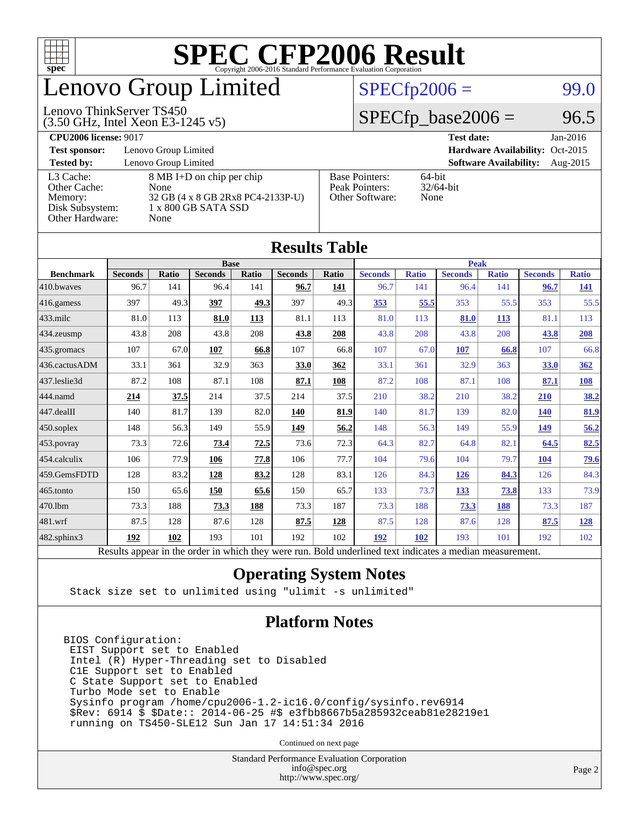

## enovo Group Limited

#### $SPECTp2006 =$  99.0

#### (3.50 GHz, Intel Xeon E3-1245 v5) Lenovo ThinkServer TS450

 $SPECTp\_base2006 = 96.5$ 

#### **[CPU2006 license:](http://www.spec.org/auto/cpu2006/Docs/result-fields.html#CPU2006license)** 9017 **[Test date:](http://www.spec.org/auto/cpu2006/Docs/result-fields.html#Testdate)** Jan-2016 **[Test sponsor:](http://www.spec.org/auto/cpu2006/Docs/result-fields.html#Testsponsor)** Lenovo Group Limited **[Hardware Availability:](http://www.spec.org/auto/cpu2006/Docs/result-fields.html#HardwareAvailability)** Oct-2015 **[Tested by:](http://www.spec.org/auto/cpu2006/Docs/result-fields.html#Testedby)** Lenovo Group Limited **[Software Availability:](http://www.spec.org/auto/cpu2006/Docs/result-fields.html#SoftwareAvailability)** Aug-2015 [L3 Cache:](http://www.spec.org/auto/cpu2006/Docs/result-fields.html#L3Cache) 8 MB I+D on chip per chip<br>Other Cache: None [Other Cache:](http://www.spec.org/auto/cpu2006/Docs/result-fields.html#OtherCache) [Memory:](http://www.spec.org/auto/cpu2006/Docs/result-fields.html#Memory) 32 GB (4 x 8 GB 2Rx8 PC4-2133P-U) [Disk Subsystem:](http://www.spec.org/auto/cpu2006/Docs/result-fields.html#DiskSubsystem) 1 x 800 GB SATA SSD [Other Hardware:](http://www.spec.org/auto/cpu2006/Docs/result-fields.html#OtherHardware) None [Base Pointers:](http://www.spec.org/auto/cpu2006/Docs/result-fields.html#BasePointers) 64-bit<br>Peak Pointers: 32/64-bit [Peak Pointers:](http://www.spec.org/auto/cpu2006/Docs/result-fields.html#PeakPointers) [Other Software:](http://www.spec.org/auto/cpu2006/Docs/result-fields.html#OtherSoftware) None

| <b>Results Table</b>   |                                                                                                          |       |                |       |                |       |                |              |                |              |                |              |
|------------------------|----------------------------------------------------------------------------------------------------------|-------|----------------|-------|----------------|-------|----------------|--------------|----------------|--------------|----------------|--------------|
|                        | <b>Base</b>                                                                                              |       |                |       |                |       | <b>Peak</b>    |              |                |              |                |              |
| <b>Benchmark</b>       | <b>Seconds</b>                                                                                           | Ratio | <b>Seconds</b> | Ratio | <b>Seconds</b> | Ratio | <b>Seconds</b> | <b>Ratio</b> | <b>Seconds</b> | <b>Ratio</b> | <b>Seconds</b> | <b>Ratio</b> |
| 410.bwayes             | 96.7                                                                                                     | 141   | 96.4           | 141   | 96.7           | 141   | 96.7           | 141          | 96.4           | 141          | 96.7           | <u>141</u>   |
| $416$ .gamess          | 397                                                                                                      | 49.3  | 397            | 49.3  | 397            | 49.3  | 353            | 55.5         | 353            | 55.5         | 353            | 55.5         |
| $433$ .milc            | 81.0                                                                                                     | 113   | 81.0           | 113   | 81.1           | 113   | 81.0           | 113          | 81.0           | 113          | 81.1           | 113          |
| $434$ . zeusmp         | 43.8                                                                                                     | 208   | 43.8           | 208   | 43.8           | 208   | 43.8           | 208          | 43.8           | 208          | 43.8           | 208          |
| $435.$ gromacs         | 107                                                                                                      | 67.0  | 107            | 66.8  | 107            | 66.8  | 107            | 67.0         | 107            | 66.8         | 107            | 66.8         |
| 436.cactusADM          | 33.1                                                                                                     | 361   | 32.9           | 363   | 33.0           | 362   | 33.1           | 361          | 32.9           | 363          | 33.0           | 362          |
| 437.leslie3d           | 87.2                                                                                                     | 108   | 87.1           | 108   | 87.1           | 108   | 87.2           | 108          | 87.1           | 108          | 87.1           | <b>108</b>   |
| 444.namd               | 214                                                                                                      | 37.5  | 214            | 37.5  | 214            | 37.5  | 210            | 38.2         | 210            | 38.2         | 210            | 38.2         |
| $ 447 \text{.}$ dealII | 140                                                                                                      | 81.7  | 139            | 82.0  | 140            | 81.9  | 140            | 81.7         | 139            | 82.0         | <b>140</b>     | 81.9         |
| $450$ .soplex          | 148                                                                                                      | 56.3  | 149            | 55.9  | 149            | 56.2  | 148            | 56.3         | 149            | 55.9         | 149            | 56.2         |
| $453$ .povray          | 73.3                                                                                                     | 72.6  | 73.4           | 72.5  | 73.6           | 72.3  | 64.3           | 82.7         | 64.8           | 82.1         | 64.5           | 82.5         |
| $ 454$ .calculix       | 106                                                                                                      | 77.9  | 106            | 77.8  | 106            | 77.7  | 104            | 79.6         | 104            | 79.7         | <b>104</b>     | <u>79.6</u>  |
| 459.GemsFDTD           | 128                                                                                                      | 83.2  | 128            | 83.2  | 128            | 83.1  | 126            | 84.3         | <b>126</b>     | 84.3         | 126            | 84.3         |
| $465$ .tonto           | 150                                                                                                      | 65.6  | 150            | 65.6  | 150            | 65.7  | 133            | 73.7         | 133            | 73.8         | 133            | 73.9         |
| 470.1bm                | 73.3                                                                                                     | 188   | 73.3           | 188   | 73.3           | 187   | 73.3           | 188          | 73.3           | <b>188</b>   | 73.3           | 187          |
| $ 481$ .wrf            | 87.5                                                                                                     | 128   | 87.6           | 128   | 87.5           | 128   | 87.5           | 128          | 87.6           | 128          | 87.5           | <u>128</u>   |
| $482$ .sphinx $3$      | 192                                                                                                      | 102   | 193            | 101   | 192            | 102   | 192            | 102          | 193            | 101          | 192            | 102          |
|                        | Results appear in the order in which they were run. Bold underlined text indicates a median measurement. |       |                |       |                |       |                |              |                |              |                |              |

#### **[Operating System Notes](http://www.spec.org/auto/cpu2006/Docs/result-fields.html#OperatingSystemNotes)**

Stack size set to unlimited using "ulimit -s unlimited"

#### **[Platform Notes](http://www.spec.org/auto/cpu2006/Docs/result-fields.html#PlatformNotes)**

BIOS Configuration: EIST Support set to Enabled Intel (R) Hyper-Threading set to Disabled C1E Support set to Enabled C State Support set to Enabled Turbo Mode set to Enable Sysinfo program /home/cpu2006-1.2-ic16.0/config/sysinfo.rev6914 \$Rev: 6914 \$ \$Date:: 2014-06-25 #\$ e3fbb8667b5a285932ceab81e28219e1 running on TS450-SLE12 Sun Jan 17 14:51:34 2016

Continued on next page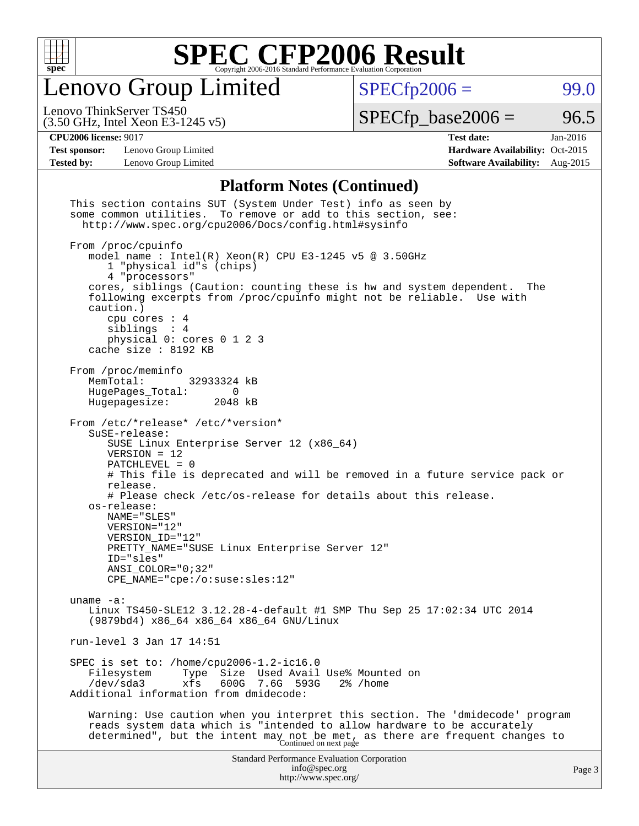

Lenovo Group Limited

 $SPECfp2006 = 99.0$  $SPECfp2006 = 99.0$ 

(3.50 GHz, Intel Xeon E3-1245 v5) Lenovo ThinkServer TS450

 $SPECTp\_base2006 = 96.5$ 

**[Test sponsor:](http://www.spec.org/auto/cpu2006/Docs/result-fields.html#Testsponsor)** Lenovo Group Limited **[Hardware Availability:](http://www.spec.org/auto/cpu2006/Docs/result-fields.html#HardwareAvailability)** Oct-2015

**[CPU2006 license:](http://www.spec.org/auto/cpu2006/Docs/result-fields.html#CPU2006license)** 9017 **[Test date:](http://www.spec.org/auto/cpu2006/Docs/result-fields.html#Testdate)** Jan-2016 **[Tested by:](http://www.spec.org/auto/cpu2006/Docs/result-fields.html#Testedby)** Lenovo Group Limited **[Software Availability:](http://www.spec.org/auto/cpu2006/Docs/result-fields.html#SoftwareAvailability)** Aug-2015

#### **[Platform Notes \(Continued\)](http://www.spec.org/auto/cpu2006/Docs/result-fields.html#PlatformNotes)**

| This section contains SUT (System Under Test) info as seen by<br>some common utilities. To remove or add to this section, see:<br>http://www.spec.org/cpu2006/Docs/config.html#sysinfo                                                                                                                                                                                                                                                                                                            |        |
|---------------------------------------------------------------------------------------------------------------------------------------------------------------------------------------------------------------------------------------------------------------------------------------------------------------------------------------------------------------------------------------------------------------------------------------------------------------------------------------------------|--------|
| From /proc/cpuinfo<br>model name: $Intel(R)$ Xeon $(R)$ CPU E3-1245 v5 @ 3.50GHz<br>1 "physical id"s (chips)<br>4 "processors"<br>cores, siblings (Caution: counting these is hw and system dependent.<br>The<br>following excerpts from /proc/cpuinfo might not be reliable. Use with<br>caution.)<br>cpu cores $: 4$<br>siblings : 4<br>physical 0: cores 0 1 2 3                                                                                                                               |        |
| cache size : 8192 KB                                                                                                                                                                                                                                                                                                                                                                                                                                                                              |        |
| From /proc/meminfo<br>MemTotal:<br>32933324 kB<br>HugePages_Total: 0<br>Hugepagesize:<br>2048 kB                                                                                                                                                                                                                                                                                                                                                                                                  |        |
| From /etc/*release* /etc/*version*<br>SuSE-release:<br>SUSE Linux Enterprise Server 12 (x86_64)<br>$VERSION = 12$<br>$PATCHLEVEL = 0$<br># This file is deprecated and will be removed in a future service pack or<br>release.<br># Please check /etc/os-release for details about this release.<br>os-release:<br>NAME="SLES"<br>VERSION="12"<br>VERSION_ID="12"<br>PRETTY_NAME="SUSE Linux Enterprise Server 12"<br>ID="sles"<br>$ANSI\_COLOR = "0; 32"$<br>$CPE\_NAME='cpe://o:suse: sles:12"$ |        |
| uname $-a$ :<br>Linux TS450-SLE12 3.12.28-4-default #1 SMP Thu Sep 25 17:02:34 UTC 2014<br>(9879bd4) x86_64 x86_64 x86_64 GNU/Linux                                                                                                                                                                                                                                                                                                                                                               |        |
| run-level 3 Jan 17 14:51                                                                                                                                                                                                                                                                                                                                                                                                                                                                          |        |
| SPEC is set to: /home/cpu2006-1.2-ic16.0<br>Size Used Avail Use% Mounted on<br>Filesystem<br>Type<br>/dev/sda3<br>xfs<br>600G<br>7.6G<br>593G<br>2% /home<br>Additional information from dmidecode:                                                                                                                                                                                                                                                                                               |        |
| Warning: Use caution when you interpret this section. The 'dmidecode' program<br>reads system data which is "intended to allow hardware to be accurately<br>determined", but the intent may not be met, as there are frequent changes to<br>Continued on next page                                                                                                                                                                                                                                |        |
| <b>Standard Performance Evaluation Corporation</b><br>info@spec.org<br>http://www.spec.org/                                                                                                                                                                                                                                                                                                                                                                                                       | Page 3 |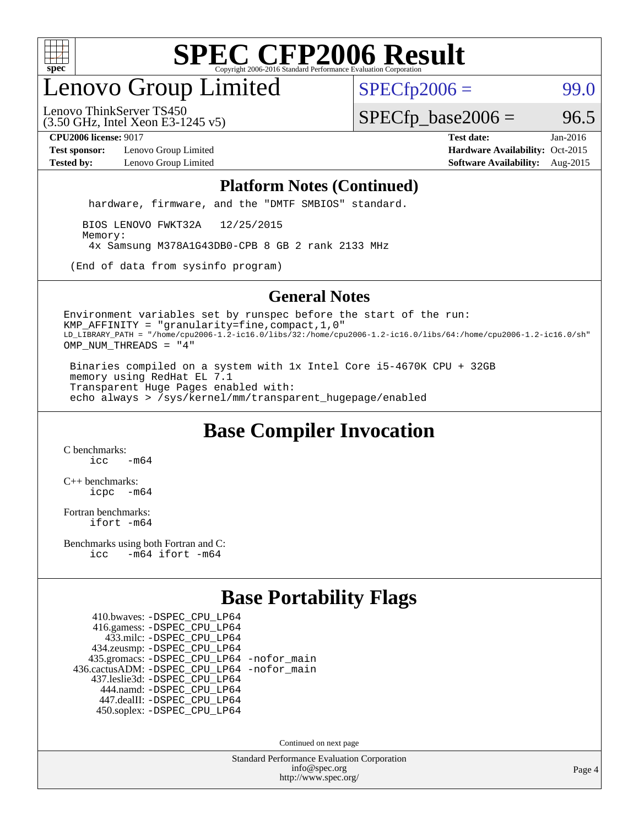

## enovo Group Limited

 $SPECfp2006 = 99.0$  $SPECfp2006 = 99.0$ 

(3.50 GHz, Intel Xeon E3-1245 v5) Lenovo ThinkServer TS450

 $SPECTp\_base2006 = 96.5$ 

**[Test sponsor:](http://www.spec.org/auto/cpu2006/Docs/result-fields.html#Testsponsor)** Lenovo Group Limited **[Hardware Availability:](http://www.spec.org/auto/cpu2006/Docs/result-fields.html#HardwareAvailability)** Oct-2015

**[CPU2006 license:](http://www.spec.org/auto/cpu2006/Docs/result-fields.html#CPU2006license)** 9017 **[Test date:](http://www.spec.org/auto/cpu2006/Docs/result-fields.html#Testdate)** Jan-2016 **[Tested by:](http://www.spec.org/auto/cpu2006/Docs/result-fields.html#Testedby)** Lenovo Group Limited **[Software Availability:](http://www.spec.org/auto/cpu2006/Docs/result-fields.html#SoftwareAvailability)** Aug-2015

#### **[Platform Notes \(Continued\)](http://www.spec.org/auto/cpu2006/Docs/result-fields.html#PlatformNotes)**

hardware, firmware, and the "DMTF SMBIOS" standard.

 BIOS LENOVO FWKT32A 12/25/2015 Memory: 4x Samsung M378A1G43DB0-CPB 8 GB 2 rank 2133 MHz

(End of data from sysinfo program)

#### **[General Notes](http://www.spec.org/auto/cpu2006/Docs/result-fields.html#GeneralNotes)**

Environment variables set by runspec before the start of the run: KMP\_AFFINITY = "granularity=fine,compact,1,0" LD\_LIBRARY\_PATH = "/home/cpu2006-1.2-ic16.0/libs/32:/home/cpu2006-1.2-ic16.0/libs/64:/home/cpu2006-1.2-ic16.0/sh" OMP\_NUM\_THREADS = "4"

 Binaries compiled on a system with 1x Intel Core i5-4670K CPU + 32GB memory using RedHat EL 7.1 Transparent Huge Pages enabled with: echo always > /sys/kernel/mm/transparent\_hugepage/enabled

### **[Base Compiler Invocation](http://www.spec.org/auto/cpu2006/Docs/result-fields.html#BaseCompilerInvocation)**

[C benchmarks](http://www.spec.org/auto/cpu2006/Docs/result-fields.html#Cbenchmarks):  $icc$   $-m64$ 

[C++ benchmarks:](http://www.spec.org/auto/cpu2006/Docs/result-fields.html#CXXbenchmarks) [icpc -m64](http://www.spec.org/cpu2006/results/res2016q1/cpu2006-20160125-38890.flags.html#user_CXXbase_intel_icpc_64bit_bedb90c1146cab66620883ef4f41a67e)

[Fortran benchmarks](http://www.spec.org/auto/cpu2006/Docs/result-fields.html#Fortranbenchmarks): [ifort -m64](http://www.spec.org/cpu2006/results/res2016q1/cpu2006-20160125-38890.flags.html#user_FCbase_intel_ifort_64bit_ee9d0fb25645d0210d97eb0527dcc06e)

[Benchmarks using both Fortran and C](http://www.spec.org/auto/cpu2006/Docs/result-fields.html#BenchmarksusingbothFortranandC): [icc -m64](http://www.spec.org/cpu2006/results/res2016q1/cpu2006-20160125-38890.flags.html#user_CC_FCbase_intel_icc_64bit_0b7121f5ab7cfabee23d88897260401c) [ifort -m64](http://www.spec.org/cpu2006/results/res2016q1/cpu2006-20160125-38890.flags.html#user_CC_FCbase_intel_ifort_64bit_ee9d0fb25645d0210d97eb0527dcc06e)

### **[Base Portability Flags](http://www.spec.org/auto/cpu2006/Docs/result-fields.html#BasePortabilityFlags)**

 410.bwaves: [-DSPEC\\_CPU\\_LP64](http://www.spec.org/cpu2006/results/res2016q1/cpu2006-20160125-38890.flags.html#suite_basePORTABILITY410_bwaves_DSPEC_CPU_LP64) 416.gamess: [-DSPEC\\_CPU\\_LP64](http://www.spec.org/cpu2006/results/res2016q1/cpu2006-20160125-38890.flags.html#suite_basePORTABILITY416_gamess_DSPEC_CPU_LP64) 433.milc: [-DSPEC\\_CPU\\_LP64](http://www.spec.org/cpu2006/results/res2016q1/cpu2006-20160125-38890.flags.html#suite_basePORTABILITY433_milc_DSPEC_CPU_LP64) 434.zeusmp: [-DSPEC\\_CPU\\_LP64](http://www.spec.org/cpu2006/results/res2016q1/cpu2006-20160125-38890.flags.html#suite_basePORTABILITY434_zeusmp_DSPEC_CPU_LP64) 435.gromacs: [-DSPEC\\_CPU\\_LP64](http://www.spec.org/cpu2006/results/res2016q1/cpu2006-20160125-38890.flags.html#suite_basePORTABILITY435_gromacs_DSPEC_CPU_LP64) [-nofor\\_main](http://www.spec.org/cpu2006/results/res2016q1/cpu2006-20160125-38890.flags.html#user_baseLDPORTABILITY435_gromacs_f-nofor_main) 436.cactusADM: [-DSPEC\\_CPU\\_LP64](http://www.spec.org/cpu2006/results/res2016q1/cpu2006-20160125-38890.flags.html#suite_basePORTABILITY436_cactusADM_DSPEC_CPU_LP64) [-nofor\\_main](http://www.spec.org/cpu2006/results/res2016q1/cpu2006-20160125-38890.flags.html#user_baseLDPORTABILITY436_cactusADM_f-nofor_main) 437.leslie3d: [-DSPEC\\_CPU\\_LP64](http://www.spec.org/cpu2006/results/res2016q1/cpu2006-20160125-38890.flags.html#suite_basePORTABILITY437_leslie3d_DSPEC_CPU_LP64) 444.namd: [-DSPEC\\_CPU\\_LP64](http://www.spec.org/cpu2006/results/res2016q1/cpu2006-20160125-38890.flags.html#suite_basePORTABILITY444_namd_DSPEC_CPU_LP64) 447.dealII: [-DSPEC\\_CPU\\_LP64](http://www.spec.org/cpu2006/results/res2016q1/cpu2006-20160125-38890.flags.html#suite_basePORTABILITY447_dealII_DSPEC_CPU_LP64) 450.soplex: [-DSPEC\\_CPU\\_LP64](http://www.spec.org/cpu2006/results/res2016q1/cpu2006-20160125-38890.flags.html#suite_basePORTABILITY450_soplex_DSPEC_CPU_LP64)

Continued on next page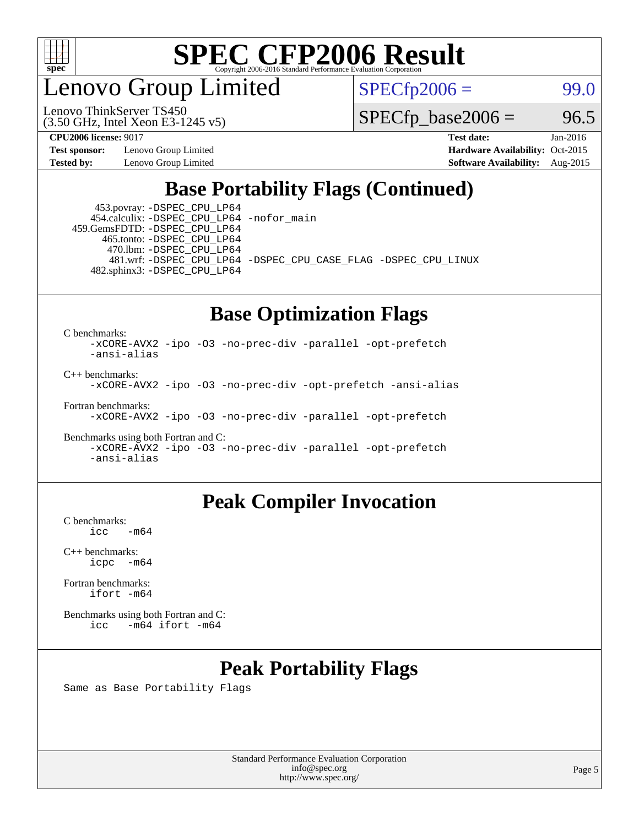

enovo Group Limited

Lenovo ThinkServer TS450

 $SPECfp2006 = 99.0$  $SPECfp2006 = 99.0$ 

 $SPECTp\_base2006 = 96.5$ 

**[Test sponsor:](http://www.spec.org/auto/cpu2006/Docs/result-fields.html#Testsponsor)** Lenovo Group Limited **[Hardware Availability:](http://www.spec.org/auto/cpu2006/Docs/result-fields.html#HardwareAvailability)** Oct-2015

(3.50 GHz, Intel Xeon E3-1245 v5)

**[CPU2006 license:](http://www.spec.org/auto/cpu2006/Docs/result-fields.html#CPU2006license)** 9017 **[Test date:](http://www.spec.org/auto/cpu2006/Docs/result-fields.html#Testdate)** Jan-2016 **[Tested by:](http://www.spec.org/auto/cpu2006/Docs/result-fields.html#Testedby)** Lenovo Group Limited **[Software Availability:](http://www.spec.org/auto/cpu2006/Docs/result-fields.html#SoftwareAvailability)** Aug-2015

### **[Base Portability Flags \(Continued\)](http://www.spec.org/auto/cpu2006/Docs/result-fields.html#BasePortabilityFlags)**

 453.povray: [-DSPEC\\_CPU\\_LP64](http://www.spec.org/cpu2006/results/res2016q1/cpu2006-20160125-38890.flags.html#suite_basePORTABILITY453_povray_DSPEC_CPU_LP64) 454.calculix: [-DSPEC\\_CPU\\_LP64](http://www.spec.org/cpu2006/results/res2016q1/cpu2006-20160125-38890.flags.html#suite_basePORTABILITY454_calculix_DSPEC_CPU_LP64) [-nofor\\_main](http://www.spec.org/cpu2006/results/res2016q1/cpu2006-20160125-38890.flags.html#user_baseLDPORTABILITY454_calculix_f-nofor_main) 459.GemsFDTD: [-DSPEC\\_CPU\\_LP64](http://www.spec.org/cpu2006/results/res2016q1/cpu2006-20160125-38890.flags.html#suite_basePORTABILITY459_GemsFDTD_DSPEC_CPU_LP64)

 465.tonto: [-DSPEC\\_CPU\\_LP64](http://www.spec.org/cpu2006/results/res2016q1/cpu2006-20160125-38890.flags.html#suite_basePORTABILITY465_tonto_DSPEC_CPU_LP64) 470.lbm: [-DSPEC\\_CPU\\_LP64](http://www.spec.org/cpu2006/results/res2016q1/cpu2006-20160125-38890.flags.html#suite_basePORTABILITY470_lbm_DSPEC_CPU_LP64) 482.sphinx3: [-DSPEC\\_CPU\\_LP64](http://www.spec.org/cpu2006/results/res2016q1/cpu2006-20160125-38890.flags.html#suite_basePORTABILITY482_sphinx3_DSPEC_CPU_LP64)

481.wrf: [-DSPEC\\_CPU\\_LP64](http://www.spec.org/cpu2006/results/res2016q1/cpu2006-20160125-38890.flags.html#suite_basePORTABILITY481_wrf_DSPEC_CPU_LP64) [-DSPEC\\_CPU\\_CASE\\_FLAG](http://www.spec.org/cpu2006/results/res2016q1/cpu2006-20160125-38890.flags.html#b481.wrf_baseCPORTABILITY_DSPEC_CPU_CASE_FLAG) [-DSPEC\\_CPU\\_LINUX](http://www.spec.org/cpu2006/results/res2016q1/cpu2006-20160125-38890.flags.html#b481.wrf_baseCPORTABILITY_DSPEC_CPU_LINUX)

#### **[Base Optimization Flags](http://www.spec.org/auto/cpu2006/Docs/result-fields.html#BaseOptimizationFlags)**

[C benchmarks](http://www.spec.org/auto/cpu2006/Docs/result-fields.html#Cbenchmarks):

[-xCORE-AVX2](http://www.spec.org/cpu2006/results/res2016q1/cpu2006-20160125-38890.flags.html#user_CCbase_f-xAVX2_5f5fc0cbe2c9f62c816d3e45806c70d7) [-ipo](http://www.spec.org/cpu2006/results/res2016q1/cpu2006-20160125-38890.flags.html#user_CCbase_f-ipo) [-O3](http://www.spec.org/cpu2006/results/res2016q1/cpu2006-20160125-38890.flags.html#user_CCbase_f-O3) [-no-prec-div](http://www.spec.org/cpu2006/results/res2016q1/cpu2006-20160125-38890.flags.html#user_CCbase_f-no-prec-div) [-parallel](http://www.spec.org/cpu2006/results/res2016q1/cpu2006-20160125-38890.flags.html#user_CCbase_f-parallel) [-opt-prefetch](http://www.spec.org/cpu2006/results/res2016q1/cpu2006-20160125-38890.flags.html#user_CCbase_f-opt-prefetch) [-ansi-alias](http://www.spec.org/cpu2006/results/res2016q1/cpu2006-20160125-38890.flags.html#user_CCbase_f-ansi-alias)

[C++ benchmarks:](http://www.spec.org/auto/cpu2006/Docs/result-fields.html#CXXbenchmarks)

[-xCORE-AVX2](http://www.spec.org/cpu2006/results/res2016q1/cpu2006-20160125-38890.flags.html#user_CXXbase_f-xAVX2_5f5fc0cbe2c9f62c816d3e45806c70d7) [-ipo](http://www.spec.org/cpu2006/results/res2016q1/cpu2006-20160125-38890.flags.html#user_CXXbase_f-ipo) [-O3](http://www.spec.org/cpu2006/results/res2016q1/cpu2006-20160125-38890.flags.html#user_CXXbase_f-O3) [-no-prec-div](http://www.spec.org/cpu2006/results/res2016q1/cpu2006-20160125-38890.flags.html#user_CXXbase_f-no-prec-div) [-opt-prefetch](http://www.spec.org/cpu2006/results/res2016q1/cpu2006-20160125-38890.flags.html#user_CXXbase_f-opt-prefetch) [-ansi-alias](http://www.spec.org/cpu2006/results/res2016q1/cpu2006-20160125-38890.flags.html#user_CXXbase_f-ansi-alias)

[Fortran benchmarks](http://www.spec.org/auto/cpu2006/Docs/result-fields.html#Fortranbenchmarks):

[-xCORE-AVX2](http://www.spec.org/cpu2006/results/res2016q1/cpu2006-20160125-38890.flags.html#user_FCbase_f-xAVX2_5f5fc0cbe2c9f62c816d3e45806c70d7) [-ipo](http://www.spec.org/cpu2006/results/res2016q1/cpu2006-20160125-38890.flags.html#user_FCbase_f-ipo) [-O3](http://www.spec.org/cpu2006/results/res2016q1/cpu2006-20160125-38890.flags.html#user_FCbase_f-O3) [-no-prec-div](http://www.spec.org/cpu2006/results/res2016q1/cpu2006-20160125-38890.flags.html#user_FCbase_f-no-prec-div) [-parallel](http://www.spec.org/cpu2006/results/res2016q1/cpu2006-20160125-38890.flags.html#user_FCbase_f-parallel) [-opt-prefetch](http://www.spec.org/cpu2006/results/res2016q1/cpu2006-20160125-38890.flags.html#user_FCbase_f-opt-prefetch)

[Benchmarks using both Fortran and C](http://www.spec.org/auto/cpu2006/Docs/result-fields.html#BenchmarksusingbothFortranandC): [-xCORE-AVX2](http://www.spec.org/cpu2006/results/res2016q1/cpu2006-20160125-38890.flags.html#user_CC_FCbase_f-xAVX2_5f5fc0cbe2c9f62c816d3e45806c70d7) [-ipo](http://www.spec.org/cpu2006/results/res2016q1/cpu2006-20160125-38890.flags.html#user_CC_FCbase_f-ipo) [-O3](http://www.spec.org/cpu2006/results/res2016q1/cpu2006-20160125-38890.flags.html#user_CC_FCbase_f-O3) [-no-prec-div](http://www.spec.org/cpu2006/results/res2016q1/cpu2006-20160125-38890.flags.html#user_CC_FCbase_f-no-prec-div) [-parallel](http://www.spec.org/cpu2006/results/res2016q1/cpu2006-20160125-38890.flags.html#user_CC_FCbase_f-parallel) [-opt-prefetch](http://www.spec.org/cpu2006/results/res2016q1/cpu2006-20160125-38890.flags.html#user_CC_FCbase_f-opt-prefetch) [-ansi-alias](http://www.spec.org/cpu2006/results/res2016q1/cpu2006-20160125-38890.flags.html#user_CC_FCbase_f-ansi-alias)

#### **[Peak Compiler Invocation](http://www.spec.org/auto/cpu2006/Docs/result-fields.html#PeakCompilerInvocation)**

[C benchmarks](http://www.spec.org/auto/cpu2006/Docs/result-fields.html#Cbenchmarks):  $-m64$ 

[C++ benchmarks:](http://www.spec.org/auto/cpu2006/Docs/result-fields.html#CXXbenchmarks) [icpc -m64](http://www.spec.org/cpu2006/results/res2016q1/cpu2006-20160125-38890.flags.html#user_CXXpeak_intel_icpc_64bit_bedb90c1146cab66620883ef4f41a67e)

[Fortran benchmarks](http://www.spec.org/auto/cpu2006/Docs/result-fields.html#Fortranbenchmarks): [ifort -m64](http://www.spec.org/cpu2006/results/res2016q1/cpu2006-20160125-38890.flags.html#user_FCpeak_intel_ifort_64bit_ee9d0fb25645d0210d97eb0527dcc06e)

[Benchmarks using both Fortran and C](http://www.spec.org/auto/cpu2006/Docs/result-fields.html#BenchmarksusingbothFortranandC): [icc -m64](http://www.spec.org/cpu2006/results/res2016q1/cpu2006-20160125-38890.flags.html#user_CC_FCpeak_intel_icc_64bit_0b7121f5ab7cfabee23d88897260401c) [ifort -m64](http://www.spec.org/cpu2006/results/res2016q1/cpu2006-20160125-38890.flags.html#user_CC_FCpeak_intel_ifort_64bit_ee9d0fb25645d0210d97eb0527dcc06e)

## **[Peak Portability Flags](http://www.spec.org/auto/cpu2006/Docs/result-fields.html#PeakPortabilityFlags)**

Same as Base Portability Flags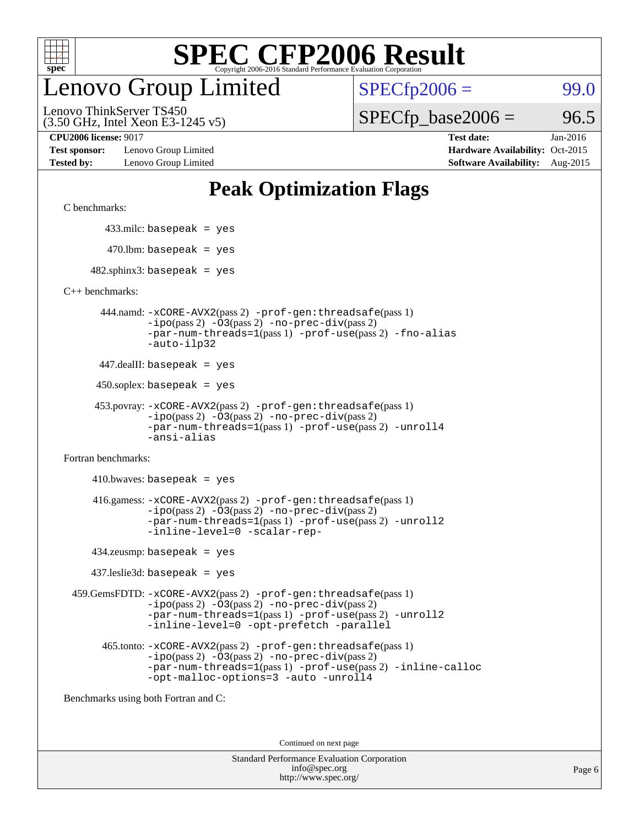

## enovo Group Limited

 $SPECfp2006 = 99.0$  $SPECfp2006 = 99.0$ 

(3.50 GHz, Intel Xeon E3-1245 v5) Lenovo ThinkServer TS450

 $SPECTp\_base2006 = 96.5$ 

**[Test sponsor:](http://www.spec.org/auto/cpu2006/Docs/result-fields.html#Testsponsor)** Lenovo Group Limited **[Hardware Availability:](http://www.spec.org/auto/cpu2006/Docs/result-fields.html#HardwareAvailability)** Oct-2015

**[CPU2006 license:](http://www.spec.org/auto/cpu2006/Docs/result-fields.html#CPU2006license)** 9017 **[Test date:](http://www.spec.org/auto/cpu2006/Docs/result-fields.html#Testdate)** Jan-2016 **[Tested by:](http://www.spec.org/auto/cpu2006/Docs/result-fields.html#Testedby)** Lenovo Group Limited **[Software Availability:](http://www.spec.org/auto/cpu2006/Docs/result-fields.html#SoftwareAvailability)** Aug-2015

## **[Peak Optimization Flags](http://www.spec.org/auto/cpu2006/Docs/result-fields.html#PeakOptimizationFlags)**

[C benchmarks](http://www.spec.org/auto/cpu2006/Docs/result-fields.html#Cbenchmarks):

433.milc: basepeak = yes

 $470.$ lbm: basepeak = yes

 $482$ .sphinx3: basepeak = yes

[C++ benchmarks:](http://www.spec.org/auto/cpu2006/Docs/result-fields.html#CXXbenchmarks)

 444.namd: [-xCORE-AVX2](http://www.spec.org/cpu2006/results/res2016q1/cpu2006-20160125-38890.flags.html#user_peakPASS2_CXXFLAGSPASS2_LDFLAGS444_namd_f-xAVX2_5f5fc0cbe2c9f62c816d3e45806c70d7)(pass 2) [-prof-gen:threadsafe](http://www.spec.org/cpu2006/results/res2016q1/cpu2006-20160125-38890.flags.html#user_peakPASS1_CXXFLAGSPASS1_LDFLAGS444_namd_prof_gen_21a26eb79f378b550acd7bec9fe4467a)(pass 1) [-ipo](http://www.spec.org/cpu2006/results/res2016q1/cpu2006-20160125-38890.flags.html#user_peakPASS2_CXXFLAGSPASS2_LDFLAGS444_namd_f-ipo)(pass 2) [-O3](http://www.spec.org/cpu2006/results/res2016q1/cpu2006-20160125-38890.flags.html#user_peakPASS2_CXXFLAGSPASS2_LDFLAGS444_namd_f-O3)(pass 2) [-no-prec-div](http://www.spec.org/cpu2006/results/res2016q1/cpu2006-20160125-38890.flags.html#user_peakPASS2_CXXFLAGSPASS2_LDFLAGS444_namd_f-no-prec-div)(pass 2) [-par-num-threads=1](http://www.spec.org/cpu2006/results/res2016q1/cpu2006-20160125-38890.flags.html#user_peakPASS1_CXXFLAGSPASS1_LDFLAGS444_namd_par_num_threads_786a6ff141b4e9e90432e998842df6c2)(pass 1) [-prof-use](http://www.spec.org/cpu2006/results/res2016q1/cpu2006-20160125-38890.flags.html#user_peakPASS2_CXXFLAGSPASS2_LDFLAGS444_namd_prof_use_bccf7792157ff70d64e32fe3e1250b55)(pass 2) [-fno-alias](http://www.spec.org/cpu2006/results/res2016q1/cpu2006-20160125-38890.flags.html#user_peakCXXOPTIMIZEOPTIMIZE444_namd_f-no-alias_694e77f6c5a51e658e82ccff53a9e63a) [-auto-ilp32](http://www.spec.org/cpu2006/results/res2016q1/cpu2006-20160125-38890.flags.html#user_peakCXXOPTIMIZE444_namd_f-auto-ilp32)

447.dealII: basepeak = yes

 $450$ .soplex: basepeak = yes

```
 453.povray: -xCORE-AVX2(pass 2) -prof-gen:threadsafe(pass 1)
-ipo(pass 2) -O3(pass 2) -no-prec-div(pass 2)
-par-num-threads=1(pass 1) -prof-use(pass 2) -unroll4
-ansi-alias
```
[Fortran benchmarks](http://www.spec.org/auto/cpu2006/Docs/result-fields.html#Fortranbenchmarks):

 $410.bwaves: basepeak = yes$  416.gamess: [-xCORE-AVX2](http://www.spec.org/cpu2006/results/res2016q1/cpu2006-20160125-38890.flags.html#user_peakPASS2_FFLAGSPASS2_LDFLAGS416_gamess_f-xAVX2_5f5fc0cbe2c9f62c816d3e45806c70d7)(pass 2) [-prof-gen:threadsafe](http://www.spec.org/cpu2006/results/res2016q1/cpu2006-20160125-38890.flags.html#user_peakPASS1_FFLAGSPASS1_LDFLAGS416_gamess_prof_gen_21a26eb79f378b550acd7bec9fe4467a)(pass 1)  $-i\text{po}(pass 2) -\text{O3}(pass 2)$  [-no-prec-div](http://www.spec.org/cpu2006/results/res2016q1/cpu2006-20160125-38890.flags.html#user_peakPASS2_FFLAGSPASS2_LDFLAGS416_gamess_f-no-prec-div)(pass 2) [-par-num-threads=1](http://www.spec.org/cpu2006/results/res2016q1/cpu2006-20160125-38890.flags.html#user_peakPASS1_FFLAGSPASS1_LDFLAGS416_gamess_par_num_threads_786a6ff141b4e9e90432e998842df6c2)(pass 1) [-prof-use](http://www.spec.org/cpu2006/results/res2016q1/cpu2006-20160125-38890.flags.html#user_peakPASS2_FFLAGSPASS2_LDFLAGS416_gamess_prof_use_bccf7792157ff70d64e32fe3e1250b55)(pass 2) [-unroll2](http://www.spec.org/cpu2006/results/res2016q1/cpu2006-20160125-38890.flags.html#user_peakOPTIMIZE416_gamess_f-unroll_784dae83bebfb236979b41d2422d7ec2) [-inline-level=0](http://www.spec.org/cpu2006/results/res2016q1/cpu2006-20160125-38890.flags.html#user_peakOPTIMIZE416_gamess_f-inline-level_318d07a09274ad25e8d15dbfaa68ba50) [-scalar-rep-](http://www.spec.org/cpu2006/results/res2016q1/cpu2006-20160125-38890.flags.html#user_peakOPTIMIZE416_gamess_f-disablescalarrep_abbcad04450fb118e4809c81d83c8a1d)

434.zeusmp: basepeak = yes

437.leslie3d: basepeak = yes

 459.GemsFDTD: [-xCORE-AVX2](http://www.spec.org/cpu2006/results/res2016q1/cpu2006-20160125-38890.flags.html#user_peakPASS2_FFLAGSPASS2_LDFLAGS459_GemsFDTD_f-xAVX2_5f5fc0cbe2c9f62c816d3e45806c70d7)(pass 2) [-prof-gen:threadsafe](http://www.spec.org/cpu2006/results/res2016q1/cpu2006-20160125-38890.flags.html#user_peakPASS1_FFLAGSPASS1_LDFLAGS459_GemsFDTD_prof_gen_21a26eb79f378b550acd7bec9fe4467a)(pass 1)  $-i\text{po}(pass 2) -03(pass 2) -no-prec-div(pass 2)$  $-i\text{po}(pass 2) -03(pass 2) -no-prec-div(pass 2)$  $-i\text{po}(pass 2) -03(pass 2) -no-prec-div(pass 2)$ [-par-num-threads=1](http://www.spec.org/cpu2006/results/res2016q1/cpu2006-20160125-38890.flags.html#user_peakPASS1_FFLAGSPASS1_LDFLAGS459_GemsFDTD_par_num_threads_786a6ff141b4e9e90432e998842df6c2)(pass 1) [-prof-use](http://www.spec.org/cpu2006/results/res2016q1/cpu2006-20160125-38890.flags.html#user_peakPASS2_FFLAGSPASS2_LDFLAGS459_GemsFDTD_prof_use_bccf7792157ff70d64e32fe3e1250b55)(pass 2) [-unroll2](http://www.spec.org/cpu2006/results/res2016q1/cpu2006-20160125-38890.flags.html#user_peakOPTIMIZE459_GemsFDTD_f-unroll_784dae83bebfb236979b41d2422d7ec2) [-inline-level=0](http://www.spec.org/cpu2006/results/res2016q1/cpu2006-20160125-38890.flags.html#user_peakOPTIMIZE459_GemsFDTD_f-inline-level_318d07a09274ad25e8d15dbfaa68ba50) [-opt-prefetch](http://www.spec.org/cpu2006/results/res2016q1/cpu2006-20160125-38890.flags.html#user_peakOPTIMIZE459_GemsFDTD_f-opt-prefetch) [-parallel](http://www.spec.org/cpu2006/results/res2016q1/cpu2006-20160125-38890.flags.html#user_peakOPTIMIZE459_GemsFDTD_f-parallel)

 465.tonto: [-xCORE-AVX2](http://www.spec.org/cpu2006/results/res2016q1/cpu2006-20160125-38890.flags.html#user_peakPASS2_FFLAGSPASS2_LDFLAGS465_tonto_f-xAVX2_5f5fc0cbe2c9f62c816d3e45806c70d7)(pass 2) [-prof-gen:threadsafe](http://www.spec.org/cpu2006/results/res2016q1/cpu2006-20160125-38890.flags.html#user_peakPASS1_FFLAGSPASS1_LDFLAGS465_tonto_prof_gen_21a26eb79f378b550acd7bec9fe4467a)(pass 1)  $-i\text{po}(pass 2)$   $-03(pass 2)$   $-no-prec-div(pass 2)$  $-no-prec-div(pass 2)$ [-par-num-threads=1](http://www.spec.org/cpu2006/results/res2016q1/cpu2006-20160125-38890.flags.html#user_peakPASS1_FFLAGSPASS1_LDFLAGS465_tonto_par_num_threads_786a6ff141b4e9e90432e998842df6c2)(pass 1) [-prof-use](http://www.spec.org/cpu2006/results/res2016q1/cpu2006-20160125-38890.flags.html#user_peakPASS2_FFLAGSPASS2_LDFLAGS465_tonto_prof_use_bccf7792157ff70d64e32fe3e1250b55)(pass 2) [-inline-calloc](http://www.spec.org/cpu2006/results/res2016q1/cpu2006-20160125-38890.flags.html#user_peakOPTIMIZE465_tonto_f-inline-calloc) [-opt-malloc-options=3](http://www.spec.org/cpu2006/results/res2016q1/cpu2006-20160125-38890.flags.html#user_peakOPTIMIZE465_tonto_f-opt-malloc-options_13ab9b803cf986b4ee62f0a5998c2238) [-auto](http://www.spec.org/cpu2006/results/res2016q1/cpu2006-20160125-38890.flags.html#user_peakOPTIMIZE465_tonto_f-auto) [-unroll4](http://www.spec.org/cpu2006/results/res2016q1/cpu2006-20160125-38890.flags.html#user_peakOPTIMIZE465_tonto_f-unroll_4e5e4ed65b7fd20bdcd365bec371b81f)

[Benchmarks using both Fortran and C](http://www.spec.org/auto/cpu2006/Docs/result-fields.html#BenchmarksusingbothFortranandC):

Continued on next page